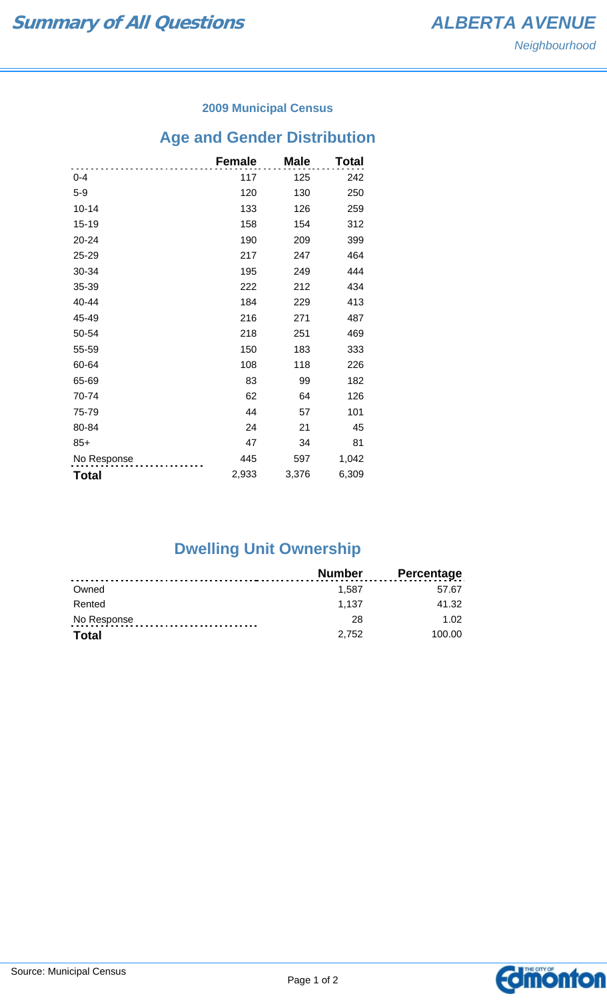#### **2009 Municipal Census**

# **Age and Gender Distribution**

|              | <b>Female</b> | <b>Male</b> | Total |
|--------------|---------------|-------------|-------|
| $0 - 4$      | 117           | 125         | 242   |
| $5-9$        | 120           | 130         | 250   |
| $10 - 14$    | 133           | 126         | 259   |
| 15-19        | 158           | 154         | 312   |
| 20-24        | 190           | 209         | 399   |
| 25-29        | 217           | 247         | 464   |
| 30-34        | 195           | 249         | 444   |
| 35-39        | 222           | 212         | 434   |
| 40-44        | 184           | 229         | 413   |
| 45-49        | 216           | 271         | 487   |
| 50-54        | 218           | 251         | 469   |
| 55-59        | 150           | 183         | 333   |
| 60-64        | 108           | 118         | 226   |
| 65-69        | 83            | 99          | 182   |
| 70-74        | 62            | 64          | 126   |
| 75-79        | 44            | 57          | 101   |
| 80-84        | 24            | 21          | 45    |
| $85+$        | 47            | 34          | 81    |
| No Response  | 445           | 597         | 1,042 |
| <b>Total</b> | 2,933         | 3,376       | 6,309 |

## **Dwelling Unit Ownership**

|              | <b>Number</b> | <b>Percentage</b> |
|--------------|---------------|-------------------|
| Owned        | 1.587         | 57.67             |
| Rented       | 1.137         | 41.32             |
| No Response  | 28            | 1.02              |
| <b>Total</b> | 2.752         | 100.00            |